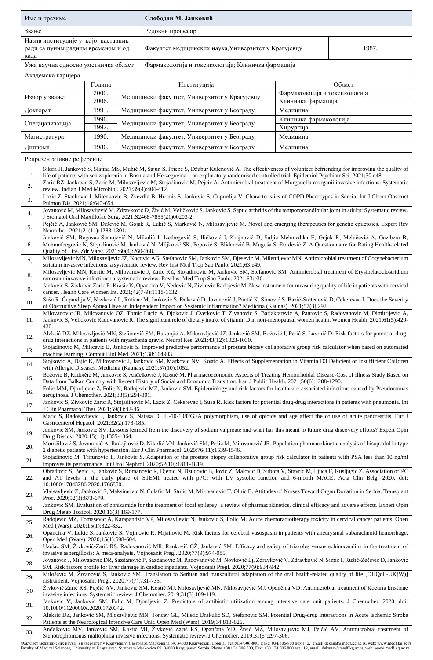|                                                                                          | Име и презиме                                                                                                                                                                                                                                                                                                                                                   |                 |  | Слободан М. Јанковић                                                                                                                                                                                                                                                                                                                                                                                                              |                                    |        |  |
|------------------------------------------------------------------------------------------|-----------------------------------------------------------------------------------------------------------------------------------------------------------------------------------------------------------------------------------------------------------------------------------------------------------------------------------------------------------------|-----------------|--|-----------------------------------------------------------------------------------------------------------------------------------------------------------------------------------------------------------------------------------------------------------------------------------------------------------------------------------------------------------------------------------------------------------------------------------|------------------------------------|--------|--|
| Звање                                                                                    |                                                                                                                                                                                                                                                                                                                                                                 |                 |  | Редовни професор                                                                                                                                                                                                                                                                                                                                                                                                                  |                                    |        |  |
| Назив институције у којој наставник<br>ради са пуним радним временом и од<br>када        |                                                                                                                                                                                                                                                                                                                                                                 |                 |  | Факултет медицинских наука, Универзитет у Крагујевцу<br>1987.                                                                                                                                                                                                                                                                                                                                                                     |                                    |        |  |
| Ужа научна односно уметничка област<br>Фармакологија и токсикологија; Клиничка фармација |                                                                                                                                                                                                                                                                                                                                                                 |                 |  |                                                                                                                                                                                                                                                                                                                                                                                                                                   |                                    |        |  |
|                                                                                          | Академска каријера                                                                                                                                                                                                                                                                                                                                              |                 |  |                                                                                                                                                                                                                                                                                                                                                                                                                                   |                                    |        |  |
|                                                                                          |                                                                                                                                                                                                                                                                                                                                                                 | Година<br>2000. |  | Институција                                                                                                                                                                                                                                                                                                                                                                                                                       | Фармакологија и токсикологија      | Област |  |
|                                                                                          | Избор у звање                                                                                                                                                                                                                                                                                                                                                   | 2006.           |  | Медицински факултет, Универзитет у Крагујевцу                                                                                                                                                                                                                                                                                                                                                                                     | Клиничка фармација                 |        |  |
| 1993.<br>Докторат                                                                        |                                                                                                                                                                                                                                                                                                                                                                 |                 |  | Медицински факултет, Универзитет у Београду                                                                                                                                                                                                                                                                                                                                                                                       | Медицина<br>Клиничка фармакологија |        |  |
| 1996.<br>Специјализација<br>$\overline{1992}$ .                                          |                                                                                                                                                                                                                                                                                                                                                                 |                 |  | Медицински факултет, Универзитет у Београду                                                                                                                                                                                                                                                                                                                                                                                       | Хирургија                          |        |  |
| 1990.<br>Магистратура                                                                    |                                                                                                                                                                                                                                                                                                                                                                 |                 |  | Медицински факултет, Универзитет у Београду                                                                                                                                                                                                                                                                                                                                                                                       | Медицина                           |        |  |
| Диплома                                                                                  |                                                                                                                                                                                                                                                                                                                                                                 | 1986.           |  | Медицински факултет, Универзитет у Београду<br>Медицина                                                                                                                                                                                                                                                                                                                                                                           |                                    |        |  |
|                                                                                          | Репрезентативне референце                                                                                                                                                                                                                                                                                                                                       |                 |  | Sikira H, Janković S, Slatina MS, Muhić M, Sajun S, Priebe S, Džubur Kulenović A. The effectiveness of volunteer befriending for improving the quality of                                                                                                                                                                                                                                                                         |                                    |        |  |
| 1.                                                                                       |                                                                                                                                                                                                                                                                                                                                                                 |                 |  | life of patients with schizophrenia in Bosnia and Herzegovina - an exploratory randomised controlled trial. Epidemiol Psychiatr Sci. 2021;30:e48.                                                                                                                                                                                                                                                                                 |                                    |        |  |
| 2.                                                                                       | review. Indian J Med Microbiol. 2021;39(4):404-412.                                                                                                                                                                                                                                                                                                             |                 |  | Zaric RZ, Jankovic S, Zaric M, Milosavljevic M, Stojadinovic M, Pejcic A. Antimicrobial treatment of Morganella morganii invasive infections: Systematic                                                                                                                                                                                                                                                                          |                                    |        |  |
| 3.                                                                                       | Pulmon Dis. 2021;16:643-654.                                                                                                                                                                                                                                                                                                                                    |                 |  | Lazic Z, Stankovic I, Milenkovic B, Zvezdin B, Hromis S, Jankovic S, Cupurdija V. Characteristics of COPD Phenotypes in Serbia. Int J Chron Obstruct                                                                                                                                                                                                                                                                              |                                    |        |  |
| 4.                                                                                       |                                                                                                                                                                                                                                                                                                                                                                 |                 |  | Jovanović M, Milosavljević M, Zdravković D, Živić M, Veličković S, Janković S. Septic arthritis of the temporomandibular joint in adults: Systematic review.<br>J Stomatol Oral Maxillofac Surg. 2021:S2468-7855(21)00203-2.                                                                                                                                                                                                      |                                    |        |  |
| 5.                                                                                       | Neurother. 2021;21(11):1283-1301.                                                                                                                                                                                                                                                                                                                               |                 |  | Pejčić A, Janković SM, Đešević M, Gojak R, Lukić S, Marković N, Milosavljević M. Novel and emerging therapeutics for genetic epilepsies. Expert Rev                                                                                                                                                                                                                                                                               |                                    |        |  |
| 6.                                                                                       | Quality of Life. Zdr Varst. 2021;60(4):260-268.                                                                                                                                                                                                                                                                                                                 |                 |  | Janković SM, Bogavac-Stanojević N, Mikulić I, Izetbegović S, Iličković I, Krajnović D, Suljic Mehmedika E, Gojak R, Mehičević A, Gazibera B,<br>Mahmutbegović N, Stojadinović M, Janković N, Miljković SK, Popović S, Blidarević B, Mugoša S, Đorđević Z. A Questionnaire for Rating Health-related                                                                                                                               |                                    |        |  |
| 7.                                                                                       |                                                                                                                                                                                                                                                                                                                                                                 |                 |  | Milosavljevic MN, Milosavljevic JZ, Kocovic AG, Stefanovic SM, Jankovic SM, Djesevic M, Milentijevic MN. Antimicrobial treatment of Corynebacterium<br>striatum invasive infections: a systematic review. Rev Inst Med Trop Sao Paulo. 2021;63:e49.                                                                                                                                                                               |                                    |        |  |
| 8.                                                                                       |                                                                                                                                                                                                                                                                                                                                                                 |                 |  | Milosavljevic MN, Kostic M, Milovanovic J, Zaric RZ, Stojadinovic M, Jankovic SM, Stefanovic SM. Antimicrobial treatment of Erysipelatoclostridium<br>ramosum invasive infections: a systematic review. Rev Inst Med Trop Sao Paulo. 2021;63:e30.                                                                                                                                                                                 |                                    |        |  |
| 9.                                                                                       |                                                                                                                                                                                                                                                                                                                                                                 |                 |  | Jankovic S, Zivkovic Zaric R, Krasic K, Opancina V, Nedovic N, Zivkovic Radojevic M. New instrument for measuring quality of life in patients with cervical                                                                                                                                                                                                                                                                       |                                    |        |  |
| 10.                                                                                      | cancer. Health Care Women Int. 2021;42(7-9):1118-1132.                                                                                                                                                                                                                                                                                                          |                 |  | Suša R, Ćupurdija V, Novković L, Ratinac M, Janković S, Đoković D, Jovanović J, Pantić K, Simović S, Bazić-Sretenović D, Čekerevac I. Does the Severity                                                                                                                                                                                                                                                                           |                                    |        |  |
| 11.                                                                                      |                                                                                                                                                                                                                                                                                                                                                                 |                 |  | of Obstructive Sleep Apnea Have an Independent Impact on Systemic Inflammation? Medicina (Kaunas). 2021;57(3):292.<br>Milovanovic JR, Milovanovic OZ, Tomic Lucic A, Djokovic J, Cvetkovic T, Zivanovic S, Barjaktarevic A, Pantovic S, Radovanovic M, Dimitrijevic A,<br>Jankovic S, Velickovic Radovanovic R. The significant role of dietary intake of vitamin D in non-menopausal women health. Women Health. 2021;61(5):420- |                                    |        |  |
|                                                                                          | 430.                                                                                                                                                                                                                                                                                                                                                            |                 |  | Aleksić DZ, Milosavljević MN, Stefanović SM, Bukonjić A, Milosavljević JZ, Janković SM, Božović I, Perić S, Lavrnić D. Risk factors for potential drug-                                                                                                                                                                                                                                                                           |                                    |        |  |
| 12                                                                                       |                                                                                                                                                                                                                                                                                                                                                                 |                 |  | drug interactions in patients with myasthenia gravis. Neurol Res. $2021;43(12):1023-1030$ .<br>Stojadinovic M, Milicevic B, Jankovic S. Improved predictive performance of prostate biopsy collaborative group risk calculator when based on automated                                                                                                                                                                            |                                    |        |  |
| 13.                                                                                      | machine learning. Comput Biol Med. 2021;138:104903.                                                                                                                                                                                                                                                                                                             |                 |  | Stojkovic A, Dajic K, Milovanovic J, Jankovic SM, Markovic NV, Kostic A. Effects of Supplementation in Vitamin D3 Deficient or Insufficient Children                                                                                                                                                                                                                                                                              |                                    |        |  |
| 14.                                                                                      |                                                                                                                                                                                                                                                                                                                                                                 |                 |  | with Allergic Diseases. Medicina (Kaunas). 2021;57(10):1052.<br>Božović B, Radoičić M, Janković S, Anđelković J, Kostić M. Pharmacoeconomic Aspects of Treating Hemorrhoidal Disease-Cost of Illness Study Based on                                                                                                                                                                                                               |                                    |        |  |
| 15.                                                                                      |                                                                                                                                                                                                                                                                                                                                                                 |                 |  | Data from Balkan Country with Recent History of Social and Economic Transition. Iran J Public Health. 2021;50(6):1288-1290.<br>Folic MM, Djordjevic Z, Folic N, Radojevic MZ, Jankovic SM. Epidemiology and risk factors for healthcare-associated infections caused by Pseudomonas                                                                                                                                               |                                    |        |  |
| 16.<br>17.                                                                               | aeruginosa. J Chemother. 2021;33(5):294-301.                                                                                                                                                                                                                                                                                                                    |                 |  | Jankovic S, Zivkovic Zaric R, Stojadinovic M, Lazic Z, Cekerevac I, Susa R. Risk factors for potential drug-drug interactions in patients with pneumonia. Int                                                                                                                                                                                                                                                                     |                                    |        |  |
| 18.                                                                                      | J Clin Pharmacol Ther. 2021;59(1):42-46.                                                                                                                                                                                                                                                                                                                        |                 |  | Matic S, Radosavljevic I, Jankovic S, Natasa D. IL-10-1082G>A polymorphism, use of opioids and age affect the course of acute pancreatitis. Eur J                                                                                                                                                                                                                                                                                 |                                    |        |  |
| 19.                                                                                      | Gastroenterol Hepatol. 2021;32(2):178-185.                                                                                                                                                                                                                                                                                                                      |                 |  | Janković SM, Janković SV. Lessons learned from the discovery of sodium valproate and what has this meant to future drug discovery efforts? Expert Opin                                                                                                                                                                                                                                                                            |                                    |        |  |
| 20.                                                                                      | Drug Discov. 2020;15(11):1355-1364.                                                                                                                                                                                                                                                                                                                             |                 |  | Momčilović S, Jovanović A, Radojković D, Nikolić VN, Janković SM, Pešić M, Milovanović JR. Population pharmacokinetic analysis of bisoprolol in type                                                                                                                                                                                                                                                                              |                                    |        |  |
| 21.                                                                                      |                                                                                                                                                                                                                                                                                                                                                                 |                 |  | 2 diabetic patients with hypertension. Eur J Clin Pharmacol. 2020;76(11):1539-1546.<br>Stojadinovic M, Trifunovic T, Jankovic S. Adaptation of the prostate biopsy collaborative group risk calculator in patients with PSA less than 10 ng/ml                                                                                                                                                                                    |                                    |        |  |
|                                                                                          |                                                                                                                                                                                                                                                                                                                                                                 |                 |  | improves its performance. Int Urol Nephrol. 2020;52(10):1811-1819.<br>Obradovic S, Begic E, Jankovic S, Romanovic R, Djenic N, Dzudovic B, Jovic Z, Malovic D, Subota V, Stavric M, Ljuca F, Kusljugic Z. Association of PC                                                                                                                                                                                                       |                                    |        |  |
| 22.                                                                                      | 10.1080/17843286.2020.1766850.                                                                                                                                                                                                                                                                                                                                  |                 |  | and AT levels in the early phase of STEMI treated with pPCI with LV systolic function and 6-month MACE. Acta Clin Belg. 2020. doi:                                                                                                                                                                                                                                                                                                |                                    |        |  |
| 23.                                                                                      | Vlaisavljevic Z, Jankovic S, Maksimovic N, Culafic M, Stulic M, Milovanovic T, Oluic B. Attitudes of Nurses Toward Organ Donation in Serbia. Transplant<br>Proc. 2020;52(3):673-679.<br>Janković SM. Evaluation of zonisamide for the treatment of focal epilepsy: a review of pharmacokinetics, clinical efficacy and adverse effects. Expert Opin             |                 |  |                                                                                                                                                                                                                                                                                                                                                                                                                                   |                                    |        |  |
| 24.                                                                                      | Drug Metab Toxicol. 2020;16(3):169-177.                                                                                                                                                                                                                                                                                                                         |                 |  | Radojevic MZ, Tomasevic A, Karapandzic VP, Milosavljevic N, Jankovic S, Folic M. Acute chemoradiotherapy toxicity in cervical cancer patients. Open                                                                                                                                                                                                                                                                               |                                    |        |  |
| 25.                                                                                      | Med (Wars). 2020;15(1):822-832.                                                                                                                                                                                                                                                                                                                                 |                 |  |                                                                                                                                                                                                                                                                                                                                                                                                                                   |                                    |        |  |
| 26.                                                                                      | Opancina V, Lukic S, Jankovic S, Vojinovic R, Mijailovic M. Risk factors for cerebral vasospasm in patients with aneurysmal subarachnoid hemorrhage.<br>Open Med (Wars). 2020;15(1):598-604.                                                                                                                                                                    |                 |  |                                                                                                                                                                                                                                                                                                                                                                                                                                   |                                    |        |  |
| 27.                                                                                      | Uzelac SM, Živković-Zarić RS, Radovanović MR, Ranković GŽ, Janković SM. Efficacy and safety of triazoles versus echinocandins in the treatment of<br>invasive aspergillosis: A meta-analysis. Vojnosanit Pregl. 2020;77(9):974-985.                                                                                                                             |                 |  |                                                                                                                                                                                                                                                                                                                                                                                                                                   |                                    |        |  |
| 28.                                                                                      | Jovanović J, Milovanović DR, Sazdanović P, Sazdanović M, Radovanović M, Novković Lj, Zdravković V, Zdravković N, Simić I, Ružić-Zečević D, Janković<br>SM. Risk factors profile for liver damage in cardiac inpatients. Vojnosanit Pregl. 2020;77(9):934-942.                                                                                                   |                 |  |                                                                                                                                                                                                                                                                                                                                                                                                                                   |                                    |        |  |
| 29.                                                                                      | Milošević M, Živanović S, Janković SM. Translation to Serbian and transcultural adaptation of the oral health-related quality of life [OHQoL-UK(W)]<br>instrument. Vojnosanit Pregl. 2020;77(7):731-735.<br>Živković Zarić RS, Pejčić AV, Janković SM, Kostić MJ, Milosavljević MN, Milosavljević MJ, Opančina VD. Antimicrobial treatment of Kocuria kristinae |                 |  |                                                                                                                                                                                                                                                                                                                                                                                                                                   |                                    |        |  |
| 30                                                                                       | invasive infections: Systematic review. J Chemother. 2019;31(3):109-119.<br>Jankovic V, Jankovic SM, Folic M, Djordjevic Z. Predictors of antibiotic utilization among intensive care unit patients. J Chemother. 2020. doi:                                                                                                                                    |                 |  |                                                                                                                                                                                                                                                                                                                                                                                                                                   |                                    |        |  |
| 31.                                                                                      | 10.1080/1120009X.2020.1720342.<br>Aleksic DZ, Jankovic SM, Mlosavljevic MN, Toncev GL, Miletic Drakulic SD, Stefanovic SM. Potential Drug-drug Interactions in Acute Ischemic Stroke                                                                                                                                                                            |                 |  |                                                                                                                                                                                                                                                                                                                                                                                                                                   |                                    |        |  |
| 32.                                                                                      | Patients at the Neurological Intensive Care Unit. Open Med (Wars). 2019;14:813-826.<br>Anđelković MV, Janković SM, Kostić MJ, Živković Zarić RS, Opančina VD, Živić MŽ, Milosavljević MJ, Pejčić AV. Antimicrobial treatment of                                                                                                                                 |                 |  |                                                                                                                                                                                                                                                                                                                                                                                                                                   |                                    |        |  |
| 33.                                                                                      | Stenotrophomonas maltophilia invasive infections: Systematic review. J Chemother. 2019;31(6):297-306.                                                                                                                                                                                                                                                           |                 |  |                                                                                                                                                                                                                                                                                                                                                                                                                                   |                                    |        |  |

Факултет медицинских наука, Универзитет у Крагујевцу, Светозара Марковића б9, 34000 Карујевац, Србија, тел:034/306-800, факс: 034/306-800 лок.112, email: dekanat@medf.kg.ac.rs, web: www.medf.kg.ac.rs<br>Faculty of Medical Sc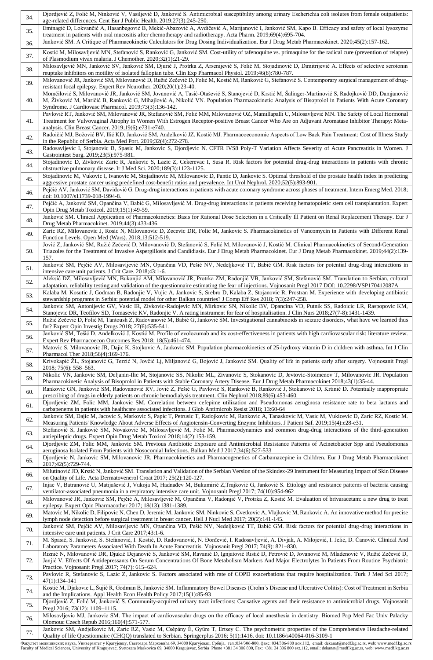| 34.        | Djordjević Z, Folić M, Ninković V, Vasiljević D, Janković S. Antimicrobial susceptibility among urinary Escherichia coli isolates from female outpatients:<br>age-related differences. Cent Eur J Public Health. 2019;27(3):245-250.                                                                                                                                                                                                               |
|------------|----------------------------------------------------------------------------------------------------------------------------------------------------------------------------------------------------------------------------------------------------------------------------------------------------------------------------------------------------------------------------------------------------------------------------------------------------|
| 35.        | Eminagić D, Lokvančić A, Hasanbegović B, Mekić-Abazović A, Avdičević A, Marijanović I, Janković SM, Kapo B. Efficacy and safety of local lysozyme<br>treatment in patients with oral mucositis after chemotherapy and radiotherapy. Acta Pharm. 2019;69(4):695-704.                                                                                                                                                                                |
| 36.        | Janković SM. A Critique of Pharmacokinetic Calculators for Drug Dosing Individualization. Eur J Drug Metab Pharmacokinet. 2020;45(2):157-162.                                                                                                                                                                                                                                                                                                      |
| 37.        | Kostić M, Milosavljević MN, Stefanović S, Ranković G, Janković SM. Cost-utility of tafenoquine vs. primaquine for the radical cure (prevention of relapse)<br>of Plasmodium vivax malaria. J Chemother. 2020;32(1):21-29.                                                                                                                                                                                                                          |
| 38.        | Milosavljević MN, Janković SV, Janković SM, Djurić J, Protrka Z, Arsenijević S, Folić M, Stojadinović D, Dimitrijević A. Effects of selective serotonin<br>reuptake inhibitors on motility of isolated fallopian tube. Clin Exp Pharmacol Physiol. 2019;46(8):780-787.                                                                                                                                                                             |
| 39.        | Milovanović JR, Janković SM, Milovanović D, Ružić Zečević D, Folić M, Kostić M, Ranković G, Stefanović S. Contemporary surgical management of drug-<br>resistant focal epilepsy. Expert Rev Neurother. 2020;20(1):23-40.                                                                                                                                                                                                                           |
| 40.        | Momčilović S, Milovanović JR, Janković SM, Jovanović A, Tasić-Otašević S, Stanojević D, Krstić M, Šalinger-Martinović S, Radojković DD, Damjanović<br>M, Živković M, Maričić B, Ranković G, Mihajlović A, Nikolić VN. Population Pharmacokinetic Analysis of Bisoprolol in Patients With Acute Coronary<br>Syndrome. J Cardiovasc Pharmacol. 2019;73(3):136-142.                                                                                   |
| 41.        | Pavlović RT, Janković SM, Milovanović JR, Stefanović SM, Folić MM, Milovanović OZ, Mamillapalli C, Milosavljević MN. The Safety of Local Hormonal<br>Treatment for Vulvovaginal Atrophy in Women With Estrogen Receptor-positive Breast Cancer Who Are on Adjuvant Aromatase Inhibitor Therapy: Meta-                                                                                                                                              |
| 42.        | analysis. Clin Breast Cancer. 2019;19(6):e731-e740.<br>Radoičić MJ, Božović BV, Ilić KD, Janković SM, Anđelković JZ, Kostić MJ. Pharmacoeconomic Aspects of Low Back Pain Treatment: Cost of Illness Study                                                                                                                                                                                                                                         |
| 43.        | in the Republic of Serbia. Acta Med Port. 2019;32(4):272-278.<br>Radosavljevic I, Stojanovic B, Spasic M, Jankovic S, Djordjevic N. CFTR IVS8 Poly-T Variation Affects Severity of Acute Pancreatitis in Women. J                                                                                                                                                                                                                                  |
| 44.        | Gastrointest Surg. 2019;23(5):975-981.<br>Stojadinovic D, Zivkovic Zaric R, Jankovic S, Lazic Z, Cekerevac I, Susa R. Risk factors for potential drug-drug interactions in patients with chronic<br>obstructive pulmonary disease. Ir J Med Sci. 2020;189(3):1123-1125.                                                                                                                                                                            |
| 45.        | Stojadinovic M, Vukovic I, Ivanovic M, Stojadinovic M, Milovanovic D, Pantic D, Jankovic S. Optimal threshold of the prostate health index in predicting<br>aggressive prostate cancer using predefined cost-benefit ratios and prevalence. Int Urol Nephrol. 2020;52(5):893-901.                                                                                                                                                                  |
| 46.        | Pejčić AV, Janković SM, Davidović G. Drug-drug interactions in patients with acute coronary syndrome across phases of treatment. Intern Emerg Med. 2018;<br>doi: 10.1007/s11739-018-1994-8.                                                                                                                                                                                                                                                        |
| 47.        | Pejčić A, Janković SM, Opančina V, Babić G, Milosavljević M. Drug-drug interactions in patients receiving hematopoietic stem cell transplantation. Expert<br>Opin Drug Metab Toxicol. 2019;15(1):49-59.                                                                                                                                                                                                                                            |
| 48.        | Janković SM. Clinical Application of Pharmacokinetics: Basis for Rational Dose Selection in a Critically Ill Patient on Renal Replacement Therapy. Eur J<br>Drug Metab Pharmacokinet. 2019;44(3):433-436.                                                                                                                                                                                                                                          |
| 49.        | Zaric RZ, Milovanovic J, Rosic N, Milovanovic D, Zecevic DR, Folic M, Jankovic S. Pharmacokinetics of Vancomycin in Patients with Different Renal<br>Function Levels. Open Med (Wars). 2018;13:512-519.                                                                                                                                                                                                                                            |
| 50.        | Jović Z, Janković SM, Ružić Zečević D, Milovanović D, Stefanović S, Folić M, Milovanović J, Kostić M. Clinical Pharmacokinetics of Second-Generation<br>Triazoles for the Treatment of Invasive Aspergillosis and Candidiasis. Eur J Drug Metab Pharmacokinet. Eur J Drug Metab Pharmacokinet. 2019;44(2):139-<br>157.                                                                                                                             |
| 51.        | Janković SM, Pejčić AV, Milosavljević MN, Opančina VD, Pešić NV, Nedeljković TT, Babić GM. Risk factors for potential drug-drug interactions in<br>intensive care unit patients. J Crit Care. 2018;43:1-6.                                                                                                                                                                                                                                         |
| 52.        | Aleksić DZ, Milosavljević MN, Bukonjić AM, Milovanović JR, Protrka ZM, Radonjić VB, Janković SM, Stefanović SM. Translation to Serbian, cultural<br>adaptation, reliability testing and validation of the questionnaire estimating the fear of injections. Vojnosanit Pregl 2017 DOI: 10.2298/VSP170412087A                                                                                                                                        |
| 53.        | Kalaba M, Kosutic J, Godman B, Radonjic V, Vujic A, Jankovic S, Srebro D, Kalaba Z, Stojanovic R, Prostran M. Experience with developing antibiotic<br>stewardship programs in Serbia: potential model for other Balkan countries? J Comp Eff Res 2018; 7(3):247-258.                                                                                                                                                                              |
| 54.        | Jankovic SM, Antonijevic GV, Vasic IR, Zivkovic-Radojevic MN, Mirkovic SN, Nikolic BV, Opancina VD, Putnik SS, Radoicic LR, Raspopovic KM,<br>Stanojevic DR, Teofilov SD, Tomasevic KV, Radonjic V. A rating instrument for fear of hospitalisation. J Clin Nurs 2018;27(7-8):1431-1439.                                                                                                                                                           |
| 55.        | Ružić Zečević D, Folić M, Tantoush Z, Radovanović M, Babić G, Janković SM. Investigational cannabinoids in seizure disorders, what have we learned thus<br>far? Expert Opin Investig Drugs 2018; 27(6):535-541.                                                                                                                                                                                                                                    |
| 56.        | Janković SM, Tešić D, Anđelković J, Kostić M. Profile of evolocumab and its cost-effectiveness in patients with high cardiovascular risk: literature review.<br>Expert Rev Pharmacoecon Outcomes Res 2018; 18(5):461-474.                                                                                                                                                                                                                          |
| 57.        | Matovic S, Milovanovic JR, Dajic K, Stojkovic A, Jankovic SM. Population pharmacokinetics of 25-hydroxy vitamin D in children with asthma. Int J Clin<br>Pharmacol Ther 2018;56(4):169-176.                                                                                                                                                                                                                                                        |
| 58.        | Krivokapić ŽL, Stojanović G, Terzić N, Jovčić Lj, Miljanović G, Bojović J, Janković SM. Quality of life in patients early after surgery. Vojnosanit Pregl<br>$2018; 75(6): 558-563.$                                                                                                                                                                                                                                                               |
| 59.<br>60. | Nikolic VN, Jankovic SM, Deljanin-Ilic M, Stojanovic SS, Nikolic ML, Zivanovic S, Stokanovic D, Jevtovic-Stoimenov T, Milovanovic JR. Population<br>Pharmacokinetic Analysis of Bisoprolol in Patients with Stable Coronary Artery Disease. Eur J Drug Metab Pharmacokinet 2018;43(1):35-44.<br>Ranković GN, Janković SM, Radovanović RV, Jović Z, Pešić G, Pavlović S, Ranković B, Ranković J, Stokanović D, Krtinić D. Potentially inappropriate |
| 61.        | prescribing of drugs in elderly patients on chronic hemodialysis treatment. Clin Nephrol 2018;89(6):453-460.<br>Djordjevic ZM, Folic MM, Jankovic SM. Correlation between cefepime utilization and Pseudomonas aeruginosa resistance rate to beta lactams and                                                                                                                                                                                      |
| 62.        | carbapenems in patients with healthcare associated infections. J Glob Antimicrob Resist 2018; 13:60-64<br>Jankovic SM, Dajic M, Jacovic S, Markovic S, Papic T, Petrusic T, Radojkovic M, Rankovic A, Tanaskovic M, Vasic M, Vukicevic D, Zaric RZ, Kostic M.                                                                                                                                                                                      |
| 63.        | Measuring Patients' Knowledge About Adverse Effects of Angiotensin-Converting Enzyme Inhibitors. J Patient Saf. 2019;15(4):e28-e31.<br>Stefanović S, Janković SM, Novaković M, Milosavljević M, Folić M. Pharmacodynamics and common drug-drug interactions of the third-generation                                                                                                                                                                |
| 64.        | antiepileptic drugs. Expert Opin Drug Metab Toxicol 2018;14(2):153-159.<br>Djordjevic ZM, Folic MM, Jankovic SM. Previous Antibiotic Exposure and Antimicrobial Resistance Patterns of Acinetobacter Spp and Pseudomonas                                                                                                                                                                                                                           |
| 65.        | aeruginosa Isolated From Patients with Nosocomial Infections. Balkan Med J 2017;34(6):527-533<br>Djordjevic N, Jankovic SM, Milovanovic JR. Pharmacokinetics and Pharmacogenetics of Carbamazepine in Children. Eur J Drug Metab Pharmacokinet                                                                                                                                                                                                     |
| 66.        | 2017;42(5):729-744.<br>Milutinović JD, Krstić N, Janković SM. Translation and Validation of the Serbian Version of the Skindex-29 Instrument for Measuring Impact of Skin Disease<br>on Quality of Life. Acta Dermatovenerol Croat 2017; 25(2):120-127.                                                                                                                                                                                            |
| 67.        | Injac V, Batranović U, Matijašević J, Vukoja M, Hadnađev M, Bukumirić Z,Trajković G, Janković S. Etiology and resistance patterns of bacteria causing<br>ventilator-associated pneumonia in a respiratory intensive care unit. Vojnosanit Pregl 2017; 74(10):954-962                                                                                                                                                                               |
| 68.        | Milovanović JR, Janković SM, Pejčić A, Milosavljević M, Opančina V, Radonjić V, Protrka Z, Kostić M. Evaluation of brivaracetam: a new drug to treat<br>epilepsy. Expert Opin Pharmacother 2017; 18(13):1381-1389.                                                                                                                                                                                                                                 |
| 69.        | Matovic M, Nikolic D, Filipovic N, Chen D, Jeremic M, Jankovic SM, Ninkovic S, Cvetkovic A, Vlajkovic M, Rankovic A. An innovative method for precise<br>lymph node detection before surgical treatment in breast cancer. Hell J Nucl Med 2017; 20(2):141-145.                                                                                                                                                                                     |
| 70.        | Janković SM, Pejčić AV, Milosavljević MN, Opančina VD, Pešić NV, Nedeljković TT, Babić GM. Risk factors for potential drug-drug interactions in<br>intensive care unit patients. J Crit Care 2017;43:1-6.                                                                                                                                                                                                                                          |
| 71.        | M. Spasić, S. Janković, S. Stefanović, I. Kostić, D. Radovanović, N. Đorđević, I. Radosavljević, A. Divjak, A. Milojević, I. Jelić, D. Čanović. Clinical And<br>Laboratory Parameters Associated With Death In Acute Pancreatitis. Vojnosanit Pregl 2017; 74(9): 821–830.                                                                                                                                                                          |
| 72.        | Riznić N, Milovanović DR, Djukić Dejanović S, Janković SM, Ravanić D, Ignjatović Ristić D, Petrović D, Jovanović M, Mladenović V, Ružić Zečević D,<br>Janjić V. Effects Of Antidepressants On Serum Concentrations Of Bone Metabolism Markers And Major Electrolytes In Patients From Routine Psychiatric<br>Practice. Vojnosanit Pregl 2017; 74(7): 615–624.                                                                                      |
| 73.        | Pavlovic R, Stefanovic S, Lazic Z, Jankovic S. Factors associated with rate of COPD exacerbations that require hospitalization. Turk J Med Sci 2017;<br>47(1):134-141                                                                                                                                                                                                                                                                              |
| 74.        | Kostić M, Djakovic L, Šujić R, Godman B, Janković SM. Inflammatory Bowel Diseases (Crohn's Disease and Ulcerative Colitis): Cost of Treatment in Serbia<br>and the Implications. Appl Health Econ Health Policy 2017;15(1):85-93                                                                                                                                                                                                                   |
| 75.        | Djordjević Z, Folić M, Janković S. Community-acquired urinary tract infections: Causative agents and their resistance to antimicrobial drugs. Vojnosanit<br>Pregl 2016; 73(12): 1109-1115.                                                                                                                                                                                                                                                         |
| 76.        | Milosavljevic MJ, Jankovic SM. The impact of cardiovascular drugs on the efficacy of local anesthesia in dentistry. Biomed Pap Med Fac Univ Palacky<br>Olomouc Czech Repub 2016;160(4):571-577.                                                                                                                                                                                                                                                    |
| 77.        | Jankovic SM, Andjelkovic M, Zaric RZ, Vasic M, Csépány É, Gyüre T, Ertsey C. The psychometric properties of the Comprehensive Headache-related<br>Quality of life Questionnaire (CHQQ) translated to Serbian. Springerplus 2016; 5(1):1416. doi: 10.1186/s40064-016-3109-1                                                                                                                                                                         |

Факултет медицинских наука, Универзитет у Крагујевцу, Светозара Марковића б9, 34000 Карујевац, Србија, тел:034/306-800, факс: 034/306-800 лок.112, email: dekanat@medf.kg.ac.rs, web: www.medf.kg.ac.rs<br>Faculty of Medical Sc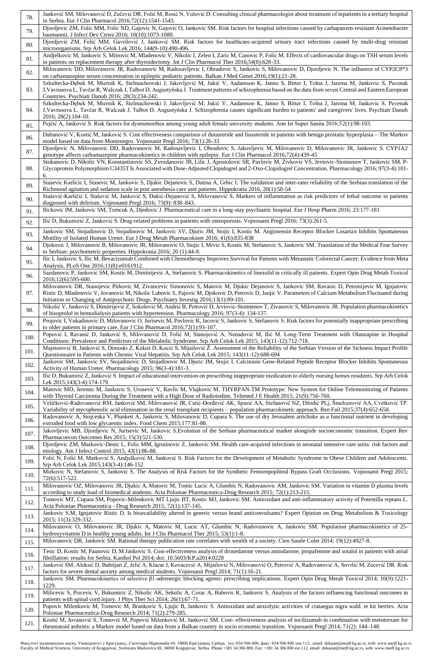| 78.          | Janković SM, Milovanović D, Zečević DR, Folić M, Rosić N, Vulović D. Consulting clinical pharmacologist about treatment of inpatients in a tertiary hospital<br>in Serbia. Eur J Clin Pharmacol 2016;72(12):1541-1543.                                                                                                                                                                                                                    |
|--------------|-------------------------------------------------------------------------------------------------------------------------------------------------------------------------------------------------------------------------------------------------------------------------------------------------------------------------------------------------------------------------------------------------------------------------------------------|
| 79.          | Djordjevic ZM, Folic MM, Folic ND, Gajovic N, Gajovic O, Jankovic SM. Risk factors for hospital infections caused by carbapanem-resistant Acinetobacter<br>baumannii. J Infect Dev Ctries 2016; 10(10):1073-1080.                                                                                                                                                                                                                         |
| 80.          | Djordjević ZM, Folić MM, Gavrilović J, Janković SM. Risk factors for healthcare-acquired urinary tract infections caused by multi-drug resistant<br>microorganisms. Srp Arh Celok Lek 2016; 144(9-10):490-496.                                                                                                                                                                                                                            |
| 81.          | Andjelkovic M, Jankovic S, Mitrovic M, Mladenovic V, Nikolic I, Zelen I, Zaric M, Canovic P, Folic M. Effects of cardiovascular drugs on TSH serum levels<br>in patients on replacement therapy after thyroidectomy. Int J Clin Pharmacol Ther 2016;54(8):628-33.                                                                                                                                                                         |
| 82.          | Milovanovic DD, Milovanovic JR, Radovanovic M, Radosavljevic I, Obradovic S, Jankovic S, Milovanovic D, Djordjevic N. The influence of CYP2C8*3<br>on carbamazepine serum concentration in epileptic pediatric patients. Balkan J Med Genet 2016;19(1):21-28.                                                                                                                                                                             |
| 83.          | Szkultecka-Dębek M, Miernik K, Stelmachowski J, Jakovljević M, Jukić V, Aadamsoo K, Janno S, Bitter I, Tolna J, Jarema M, Jankovic S, Pecenak<br>J, Vavrusova L, Tavčar R, Walczak J, Talbot D, Augustyńska J. Treatment patterns of schizophrenia based on the data from seven Central and Eastern European<br>Countries. Psychiatr Danub 2016; 28(3):234-242.                                                                           |
| 84.          | Szkultecka-Dębek M, Miernik K, Stelmachowski J, Jakovljević M, Jukić V, Aadamsoo K, Janno S, Bitter I, Tolna J, Jarema M, Jankovic S, Pecenak<br>J, Vavrusova L, Tavčar R, Walczak J, Talbot D, Augustyńska J. Schizophrenia causes significant burden to patients' and caregivers' lives. Psychiatr Danub<br>2016; 28(2):104-10.                                                                                                         |
| 85.          | Pejčić A, Janković S. Risk factors for dysmenorrhea among young adult female university students. Ann Ist Super Sanita 2016;52(1):98-103.                                                                                                                                                                                                                                                                                                 |
| 86.          | Dabanović V, Kostić M, Janković S. Cost effectiveness comparison of dutasteride and finasteride in patients with benign prostatic hyperplasia-The Markov<br>model based on data from Montenegro. Vojnosanit Pregl 2016; 73(1):26-33                                                                                                                                                                                                       |
| 87.          | Djordjevic N, Milovanovic DD, Radovanovic M, Radosavljevic I, Obradovic S, Jakovljevic M, Milovanovic D, Milovanovic JR, Jankovic S. CYP1A2<br>genotype affects carbamazepine pharmacokinetics in children with epilepsy. Eur J Clin Pharmacol 2016;72(4):439-45<br>Stokanovic D, Nikolic VN, Konstantinovic SS, Zvezdanovic JB, Lilic J, Apostolovic SR, Pavlovic M, Zivkovic VS, Jevtovic-Stoimenov T, Jankovic SM. P-                  |
| 88.          | Glycoprotein Polymorphism C3435T Is Associated with Dose-Adjusted Clopidogrel and 2-Oxo-Clopidogrel Concentration. Pharmacology 2016; 97(3-4):101-<br>6.                                                                                                                                                                                                                                                                                  |
| 89.          | Stasevic Karlicic I, Stasevic M, Jankovic S, Djukic Dejanovic S, Dutina A, Grbic I. The validation and inter-rater reliability of the Serbian translation of the<br>Richmond agitation and sedation scale in post anesthesia care unit patients. Hippokratia 2016, 20(1):50-54<br>Stašević-Karličić I, Stašević M, Janković S, Đukić-Dejanović S, Milovanović S. Markers of inflammation as risk predictors of lethal outcome in patients |
| 90.          | diagnosed with delirium. Vojnosanit Pregl 2016; 73(9): 838-843.                                                                                                                                                                                                                                                                                                                                                                           |
| 91.          | Ilickovic IM, Jankovic SM, Tomcuk A, Djedovic J. Pharmaceutical care in a long-stay psychiatric hospital. Eur J Hosp Pharm 2016; 23:177-181<br>Ilić D, Bukumirić Z, Janković S. Drug-related problems in patients with osteoporosis. Vojnosanit Pregl 2016; 73(3):261-5.                                                                                                                                                                  |
| 92.          | Jankovic SM, Stojadinovic D, Stojadinovic M, Jankovic SV, Djuric JM, Stojic I, Kostic M. Angiotensin Receptor Blocker Losartan Inhibits Spontaneous                                                                                                                                                                                                                                                                                       |
| 93.          | Motility of Isolated Human Ureter. Eur J Drug Metab Pharmacokinet 2016; 41(6):835-838<br>Djokovic J, Milovanovic B, Milovanovic JR, Milovanovic O, Stojic I, Mrvic S, Kostic M, Stefanovic S, Jankovic SM. Translation of the Medical Fear Survey                                                                                                                                                                                         |
| 94.<br>95.   | to Serbian: psychometric properties. Hippokratia 2016; 20 (1):44-9.<br>Ilic I, Jankovic S, Ilic M. Bevacizumab Combined with Chemotherapy Improves Survival for Patients with Metastatic Colorectal Cancer: Evidence from Meta                                                                                                                                                                                                            |
| 96.          | Analysis. PLoS One 2016;11(8):e0161912.<br>Sazdanovic P, Jankovic SM, Kostic M, Dimitrijevic A, Stefanovic S. Pharmacokinetics of linezolid in critically ill patients. Expert Opin Drug Metab Toxicol                                                                                                                                                                                                                                    |
| 97.          | 2016;12(6):595-600.<br>Milovanovic DR, Stanojevic Pirkovic M, Zivancevic Simonovic S, Matovic M, Djukic Dejanovic S, Jankovic SM, Ravanic D, Petronijevic M, Ignjatovic<br>Ristic D, Mladenovic V, Jovanovic M, Nikolic Labovic S, Pajovic M, Djokovic D, Petrovic D, Janjic V. Parameters of Calcium Metabolism Fluctuated during                                                                                                        |
| 98.          | Initiation or Changing of Antipsychotic Drugs. Psychiatry Investig 2016;13(1):89-101.<br>Nikolić V, Janković S, Dimitrijević Z, Sokolović M, Andrić B, Petrović D, Jevtovic-Stoimenov T, Zivanovic S, Milovanovic JR. Population pharmacokinetics                                                                                                                                                                                         |
|              | of bisoprolol in hemodialysis patients with hypertension. Pharmacology 2016; 97(3-4): 134-137.<br>Projovic I, Vukadinovic D, Milovanovic O, Jurisevic M, Pavlovic R, Jacovic S, Jankovic S, Stefanovic S. Risk factors for potentially inappropriate prescribing                                                                                                                                                                          |
| 99.          | to older patients in primary care. Eur J Clin Pharmacol 2016;72(1):93-107.<br>Popović I, Ravanić D, Janković S, Milovanović D, Folić M, Stanojević A, Nenadović M, Ilić M. Long-Term Treatment with Olanzapine in Hospital                                                                                                                                                                                                                |
| $100.$       | Conditions: Prevalence and Predictors of the Metabolic Syndrome. Srp Arh Celok Lek 2015; 143(11-12):712-718.<br>Majstorović B, Janković S, Dimoski Z, Kekuš D, Kocić S, Mijailović Ž. Assessment of the Reliability of the Serbian Version of the Sickness Impact Profile                                                                                                                                                                 |
| 101.         | Questionnaire in Patients with Chronic Viral Hepatitis. Srp Arh Celok Lek 2015; 143(11-12):688-694<br>Jankovic SM, Jankovic SV, Stojadinovic D, Stojadinovic M, Djuric JM, Stojic I. Calcitonin Gene-Related Peptide Receptor Blocker Inhibits Spontaneous                                                                                                                                                                                |
| 102.         | Activity of Human Ureter. Pharmacology 2015; 96(3-4):181-3.<br>Ilić D, Bukumirić Z, Janković S. Impact of educational intervention on prescribing inappropriate medication to elderly nursing homes residents. Srp Arh Celok                                                                                                                                                                                                              |
| 103.         | Lek 2015;143(3-4):174-179.<br>Matovic MD, Jeremic M, Jankovic S, Urosevic V, Ravlic M, Vlajkovic M. THYRPAN-TM Prototype: New System for Online Telemonitoring of Patients                                                                                                                                                                                                                                                                |
| 104.         | with Thyroid Carcinoma During the Treatment with a High Dose of Radioiodine. Telemed J E Health 2015; 21(9):756-760.<br>Veličković-Radovanović RM, Janković SM, Milovanović JR, Catić-Đorđević AK, Spasić AA, Stefanović NZ, Džodić PLj, Šmelcerović AA, Cvetković TP.                                                                                                                                                                    |
| 105.<br>106. | Variability of mycophenolic acid elimination in the renal transplant recipients – population pharmacokinetic approach. Ren Fail 2015;37(4):652-658.<br>Radovanovic A, Stojceska V, Plunkett A, Jankovic S, Milovanovic D, Cupara S. The use of dry Jerusalem artichoke as a functional nutrient in developing<br>extruded food with low glycaemic index. Food Chem 2015;177:81-88.                                                        |
| 107.         | Jakovljevic MB, Djordjevic N, Jurisevic M, Jankovic S.Evolution of the Serbian pharmaceutical market alongside socioeconomic transition. Expert Rev<br>Pharmacoecon Outcomes Res 2015; 15(3):521-530.                                                                                                                                                                                                                                     |
| 108.         | Djordjevic ZM, Markovic-Denic L, Folic MM, Igrutinovic Z, Jankovic SM. Health care-acquired infections in neonatal intensive care units: risk factors and<br>etiology. Am J Infect Control $2015$ ; $43(1)$ :86-88.                                                                                                                                                                                                                       |
| 109.         | Folić N, Folić M, Marković S, Andjelković M, Janković S. Risk Factors for the Development of Metabolic Syndrome in Obese Children and Adolescents.<br>Srp Arh Celok Lek 2015;143(3-4):146-152                                                                                                                                                                                                                                             |
| 110.         | Mirkovic N, Stefanovic S, Jankovic S. The Analysis of Risk Factors for the Synthetic Femoropopliteal Bypass Graft Occlusions. Vojnosanit Pregl 2015;<br>72(6):517-522.                                                                                                                                                                                                                                                                    |
| 111.         | Milovanovic OZ, Milovanovic JR, Djukic A, Matovic M, Tomic Lucic A, Glumbic N, Radovanovic AM, Jankovic SM. Variation in vitamin D plasma levels<br>according to study load of biomedical students. Acta Poloniae Pharmaceutica-Drug Research 2015; 72(1):213-215.                                                                                                                                                                        |
| 112.         | Tomovic MT, Cupara SM, Popovic-Milenkovic MT Ljujic BT, Kostic MJ, Jankovic SM. Antioxidant and anti-inflammatory activity of Potentilla reptans L.<br>Acta Poloniae Pharmaceutica - Drug Research 2015; 72(1):137-145.                                                                                                                                                                                                                   |
| 113.         | Jankovic S.M, Ignjatovic Ristic D. Is bioavailability altered in generic versus brand anticonvulsants? Expert Opinion on Drug Metabolism & Toxicology<br>2015; 11(3):329-332.                                                                                                                                                                                                                                                             |
| 114.         | Milovanovic O, Milovanovic JR, Djukic A, Matovic M, Lucic AT, Glumbic N, Radovanovic A, Jankovic SM. Population pharmacokinetics of 25-<br>hydroxyvitamin D in healthy young adults. Int J Clin Pharmacol Ther 2015; 53(1):1-8.                                                                                                                                                                                                           |
| 115.         | Milovanovic DR, Jankovic SM. Rational therapy publication rate correlates with wealth of a society. Cien Saude Colet 2014; 19(12):4927-8.                                                                                                                                                                                                                                                                                                 |
| 116.         | Tesic D, Kostic M, Paunovic D, M Jankovic S. Cost-effectiveness analysis of dronedarone versus amiodarone, propafenone and sotalol in patients with atrial<br>fibrillation: results for Serbia. Kardiol Pol 2014; doi: 10.5603/KP.a2014.0228                                                                                                                                                                                              |
| 117.         | Janković SM, Aleksić D, Bahtijari Z, Jelić A, Klacar J, Kovacević A, Mijailović N, Milovanović O, Petrović A, Radovanović A, Sovrlić M, Zecević DR. Risk<br>factors for severe dental anxiety among medical students. Vojnosanit Pregl 2014; 71(1):16-21.                                                                                                                                                                                 |
| 118.         | Jankovic SM. Pharmacokinetics of selective $\beta$ 1-adrenergic blocking agents: prescribing implications. Expert Opin Drug Metab Toxicol 2014; 10(9):1221-<br>1229.                                                                                                                                                                                                                                                                      |
| 119.         | Milicevic S, Piscevic V, Bukumiric Z, Nikolic AK, Sekulic A, Corac A, Babovic R, Jankovic S. Analysis of the factors influencing functional outcomes in<br>patients with spinal cord injury. J Phys Ther Sci $2014$ ; $26(1):67-71$ .                                                                                                                                                                                                     |
| 120.         | Popovic Milenkovic M, Tomovic M, Brankovic S, Ljujic B, Jankovic S. Antioxidant and anxiolytic activities of crataegus nigra wald. et kit berries. Acta<br>Poloniae Pharmaceutica-Drug Research 2014; 71(2):279-285.                                                                                                                                                                                                                      |
| 121.         | Kostić M, Jovanović S, Tomović M, Popović Milenković M, Janković SM. Cost-effectiveness analysis of tocilizumab in combination with metotrexate for<br>rheumatoid arthritis: a Markov model based on data from a Balkan country in socio economic transition. Vojnosanit Pregl 2014; 71(2): 144–148.                                                                                                                                      |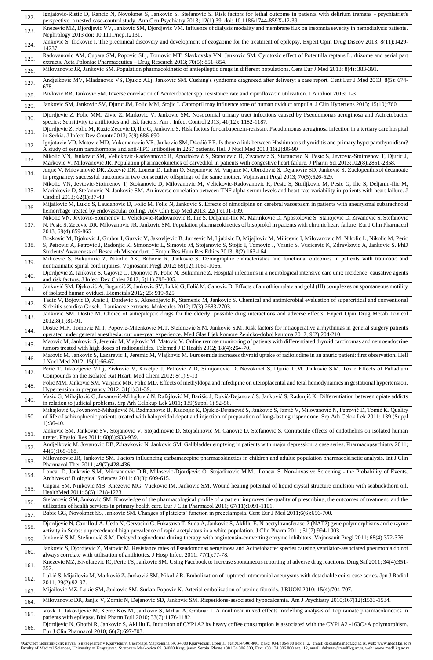| 122.         | Ignjatovic-Ristic D, Rancic N, Novokmet S, Jankovic S, Stefanovic S. Risk factors for lethal outcome in patients with delirium tremens - psychiatrist's<br>perspective: a nested case-control study. Ann Gen Psychiatry 2013; 12(1):39. doi: 10.1186/1744-859X-12-39.                                                                                                                                             |
|--------------|-------------------------------------------------------------------------------------------------------------------------------------------------------------------------------------------------------------------------------------------------------------------------------------------------------------------------------------------------------------------------------------------------------------------|
| 123.         | Knezevic MZ, Djordjevic VV, Jankovic SM, Djordjevic VM. Influence of dialysis modality and membrane flux on insomnia severity in hemodialysis patients.<br>Nephrology 2013 doi: 10.1111/nep.12131.                                                                                                                                                                                                                |
| 124.         | Jankovic S, Ilickovic I. The preclinical discovery and development of ezogabine for the treatment of epilepsy. Expert Opin Drug Discov 2013; 8(11):1429-<br>14237.                                                                                                                                                                                                                                                |
| 125.         | Radovanovic AM, Cupara SM, Popovic SLj, Tomovic MT, Slavkovska VN, Jankovic SM. Cytotoxic effect of Potentilla reptans L. rhizome and aerial part<br>extracts. Acta Poloniae Pharmaceutica - Drug Research 2013; 70(5): 851-854.                                                                                                                                                                                  |
| 126.         | Milovanovic JR, Jankovic SM. Population pharmacokinetic of antiepileptic drugs in different populations. Cent Eur J Med 2013; 8(4): 383-391.                                                                                                                                                                                                                                                                      |
| 127.         | Andjelkovic MV, Mladenovic VS, Djukic ALj, Jankovic SM. Cushing's syndrome diagnosed after delivery: a case report. Cent Eur J Med 2013; 8(5): 674-<br>678.                                                                                                                                                                                                                                                       |
| 128.         | Pavlovic RR, Jankovic SM. Inverse correlation of Acinetobacter spp. resistance rate and ciprofloxacin utilization. J Antibiot 2013; 1-3                                                                                                                                                                                                                                                                           |
| 129.         | Jankovic SM, Jankovic SV, Djuric JM, Folic MM, Stojic I. Captopril may influence tone of human oviduct ampulla. J Clin Hypertens 2013; 15(10):760                                                                                                                                                                                                                                                                 |
| 130.         | Djordjevic Z, Folic MM, Zivic Z, Markovic V, Jankovic SM. Nosocomial urinary tract infections caused by Pseudomonas aeruginosa and Acinetobacter<br>species: Sensitivity to antibiotics and risk factors. Am J Infect Control 2013; 41(12): 1182-1187.                                                                                                                                                            |
| 131.         | Djordjevic Z, Folic M, Ruzic Zecevic D, Ilic G, Jankovic S. Risk factors for carbapenem-resistant Pseudomonas aeruginosa infection in a tertiary care hospital<br>in Serbia. J Infect Dev Countr 2013; 7(9):686-690.                                                                                                                                                                                              |
| 132.         | Ignjatovic VD, Matovic MD, Vukomanovic VR, Jankovic SM, Džodić RR. Is there a link between Hashimoto's thyroiditis and primary hyperparathyroidism?<br>A study of serum parathormone and anti-TPO antibodies in 2267 patients. Hell J Nucl Med 2013;16(2):86-90                                                                                                                                                   |
| 133.         | Nikolic VN, Jankovic SM, Velickovic-Radovanović R, Apostolović S, Stanojevic D, Zivanovic S, Stefanovic N, Pesic S, Jevtovic-Stoimenov T, Djuric J,<br>Markovic V, Milovanovic JR. Population pharmacokinetics of carvedilol in patients with congestive heart failure. J Pharm Sci 2013;102(8):2851-2858.                                                                                                        |
| 134.         | Janjić V, Milovanović DR, Zecević DR, Loncar D, Laban O, Stepanović M, Varjaric M, Obradović S, Dejanović SD, Janković S. Zuclopenthixol decanoate<br>in pregnancy: successful outcomes in two consecutive offsprings of the same mother. Vojnosanit Pregl 2013; 70(5):526-529.                                                                                                                                   |
| 135.         | Nikolic VN, Jevtovic-Stoimenov T, Stokanovic D, Milovanovic M, Velickovic-Radovanovic R, Pesic S, Stoiljkovic M, Pesic G, Ilic S, Deljanin-Ilic M,<br>Marinkovic D, Stefanovic N, Jankovic SM. An inverse correlation between TNF alpha serum levels and heart rate variability in patients with heart failure. J<br>Cardiol 2013; 62(1):37-43                                                                    |
| 136.         | Mijailovic M, Lukic S, Laudanovic D, Folic M, Folic N, Jankovic S. Effects of nimodipine on cerebral vasospasm in patients with aneurysmal subarachnoid<br>hemorrhage treated by endovascular coiling. Adv Clin Exp Med 2013; 22(1):101-109.                                                                                                                                                                      |
| 137.         | Nikolic VN, Jevtovic-Stoimenov T, Velickovic-Radovanovic R, Ilic S, Deljanin-Ilic M, Marinkovic D, Apostolovic S, Stanojevic D, Zivanovic S, Stefanovic<br>N, Pesic S, Zecevic DR, Milovanovic JR, Jankovic SM. Population pharmacokinetics of bisoprolol in patients with chronic heart failure. Eur J Clin Pharmacol<br>2013; 69(4):859-865                                                                     |
| 138.         | Boskovic M, Djokovic J, Grubor I, Guzvic V, Jakovljevic B, Jurisevic M, Ljubisic D, Mijajlovic M, Milicevic I, Milovanovic M, Nikolic L, Nikolic M, Peric<br>S, Petrovic A, Petrovic J, Radonjic K, Simonovic L, Simovic M, Stojanovic S, Stojic I, Tomovic J, Vranic S, Vucicevic K, Zdravkovic A, Jankovic S. PhD<br>Students' Awareness of Research Misconduct. J Empir Res Hum Res Ethics 2013; 8(2):163-164. |
| 139.         | Milićević S, Bukumirić Z, Nikolić AK, Babović R, Janković S. Demographic characteristics and functional outcomes in patients with traumatic and<br>nontraumatic spinal cord injuries. Vojnosanit Pregl 2012; 69(12):1061-1066.                                                                                                                                                                                    |
| 140.         | Djordjevic Z, Jankovic S, Gajovic O, Djonovic N, Folic N, Bukumiric Z. Hospital infections in a neurological intensive care unit: incidence, causative agents<br>and risk factors. J Infect Dev Ctries 2012; 6(11):798-805.                                                                                                                                                                                       |
| 141.         | Janković SM, Djeković A, Bugarčić Z, Janković SV, Lukić G, Folić M, Canović D. Effects of aurothiomalate and gold (III) complexes on spontaneous motility<br>of isolated human oviduct. Biometals 2012; 25: 919-925.                                                                                                                                                                                              |
| 142.         | Tadic V, Bojovic D, Arsic I, Dordevic S, Aksentijevic K, Stamenic M, Jankovic S. Chemical and antimicrobial evaluation of supercritical and conventional<br>Sideritis scardica Griseb., Lamiaceae extracts. Molecules 2012;17(3):2683-2703.                                                                                                                                                                       |
| 143.         | Jankovic SM, Dostic M. Choice of antiepileptic drugs for the elderly: possible drug interactions and adverse effects. Expert Opin Drug Metab Toxicol<br>$2012;8(1):81-91.$                                                                                                                                                                                                                                        |
| 144.         | Dostić M.P, Tomović M.T, Popović-Milenković M.T, Stefanović S.M, Janković S.M. Risk factors for intraoperative arrhythmias in general surgery patients<br>operated under general anesthesia: our one-year experience. Med Glas Ljek komore Zenicko-doboj kantona 2012; 9(2):204-210.                                                                                                                              |
| 145.         | Matovic M, Jankovic S, Jeremic M, Vlajkovic M, Matovic V. Online remote monitoring of patients with differentiated thyroid carcinomas and neuroendocrine<br>tumors treated with high doses of radionuclides. Telemed J E Health 2012; 18(4):264-70.                                                                                                                                                               |
| 146.         | Matovic M, Jankovic S, Lazarevic T, Jeremic M, Vlajkovic M. Furosemide increases thyroid uptake of radioiodine in an anuric patient: first observation. Hell<br>J Nucl Med 2012; 15(1):66-67.                                                                                                                                                                                                                     |
| 147.         | Perić T, Jakovljević V.Lj, Zivkovic V, Krkeljic J, Petrović Z.D, Simijonović D, Novokmet S, Djuric D.M, Janković S.M. Toxic Effects of Palladium<br>Compounds on the Isolated Rat Heart. Med Chem 2012; 8(1):9-13                                                                                                                                                                                                 |
| 148.         | Folic MM, Jankovic SM, Varjacic MR, Folic MD. Effects of methyldopa and nifedipine on uteroplacental and fetal hemodynamics in gestational hypertension.<br>Hypertension in pregnancy 2012; 31(1):31-39.                                                                                                                                                                                                          |
| 149.         | Vasić G, Mihajlović G, Jovanović-Mihajlović N, Rafajlović M, Barišić J, Đukić-Dejanović S, Janković S, Radonjić K. Differentiation between opiate addicts<br>in relation to judicial problems. Srp Arh Celokup Lek 2011; 139(Suppl 1):52-56.<br>Mihajlović G, Jovanović-Mihajlović N, Radmanović B, Radonjić K, Djukić-Dejanović S, Janković S, Janjić V, Milovanović N, Petrović D, Tomić K. Quality             |
| 150.         | of life of schizophrenic patients treated with haloperidol depot and injection of preparation of long-lasting risperidone. Srp Arh Celok Lek 2011; 139 (Suppl<br>$1):36-40.$                                                                                                                                                                                                                                      |
| 151.         | Jankovic SM, Jankovic SV, Stojanovic V, Stojadinovic D, Stojadinovic M, Canovic D, Stefanovic S. Contractile effects of endothelins on isolated human<br>ureter. Physiol Res 2011; 60(6):933-939.                                                                                                                                                                                                                 |
| 152.         | Andjelkovic M, Jovanovic DB, Zdravkovic N, Jankovic SM. Gallbladder emptying in patients with major depression: a case series. Pharmacopsychiatry 2011;<br>$44(5):165-168.$                                                                                                                                                                                                                                       |
| 153.         | Milovanovic JR, Jankovic SM. Factors influencing carbamazepine pharmacokinetics in children and adults: population pharmacokinetic analysis. Int J Clin<br>Pharmacol Ther 2011; 49(7):428-436.                                                                                                                                                                                                                    |
| 154.         | Loncar D, Jankovic S.M, Milovanovic D.R, Milosevic-Djordjevic O, Stojadinovic M.M, Loncar S. Non-invasive Screening - the Probability of Events.<br>Archives of Biological Sciences 2011; 63(3): 609-615.                                                                                                                                                                                                         |
| 155.         | Cupara SM, Ninkovic MB, Knezevic MG, Vuckovic IM, Jankovic SM. Wound healing potential of liquid crystal structure emulsion with seabuckthorn oil.<br>HealthMed 2011; 5(5) 1218-1223                                                                                                                                                                                                                              |
| 156.         | Stefanovic SM, Jankovic SM. Knowledge of the pharmacological profile of a patient improves the quality of prescribing, the outcomes of treatment, and the<br>utilization of health services in primary health care. Eur J Clin Pharmacol 2011; 67(11):1091-1101.                                                                                                                                                  |
| 157.         | Babic GG, Novokmet SS, Jankovic SM. Changes of platelets' function in preeclampsia. Cent Eur J Med 2011;6(6):696-700.<br>Djordjevic N, Carrillo J.A, Ueda N, Gervasini G, Fukasawa T, Suda A, Jankovic S, Aklillu E. N-acetyltransferase-2 (NAT2) gene polymorphisms and enzyme                                                                                                                                   |
| 158.         | activity in Serbs: unprecedented high prevalence of rapid acetylators in a white population. J Clin Pharm 2011; 51(7):994-1003.<br>Janković S.M, Stefanović S.M. Delayed angioedema during therapy with angiotensin-converting enzyme inhibitors. Vojnosanit Pregl 2011; 68(4):372-376.                                                                                                                           |
| 159.         | Jankovic S, Djordjevic Z, Matovic M. Resistance rates of Pseudomonas aeruginosa and Acinetobacter species causing ventilator-associated pneumonia do not                                                                                                                                                                                                                                                          |
| 160.<br>161. | always correlate with utilisation of antibiotics. J Hosp Infect 2011; 77(1):77-78.<br>Knezevic MZ, Bivolarevic IC, Peric TS, Jankovic SM. Using Facebook to increase spontaneous reporting of adverse drug reactions. Drug Saf 2011; 34(4):351-                                                                                                                                                                   |
| 162.         | 352.<br>Lukić S, Mijailović M, Marković Z, Janković SM, Nikolić R. Embolization of ruptured intracranial aneurysms with detachable coils: case series. Jpn J Radiol                                                                                                                                                                                                                                               |
| 163.         | 2011; 29(2): 92-97.<br>Mijailovic MZ, Lukic SM, Jankovic SM, Surlan-Popovic K. Arterial embolization of uterine fibroids. J BUON 2010; 15(4):704-707.                                                                                                                                                                                                                                                             |
| 164.         | Milovanovic DR, Janjic V, Zornic N, Dejanovic SD, Jankovic SM. Risperidone-associated hypocalcemia. Am J Psychiatry 2010;167(12):1533-1534.                                                                                                                                                                                                                                                                       |
| 165.         | Vovk T, Jakovljević M, Kerec Kos M, Janković S, Mrhar A, Grabnar I. A nonlinear mixed effects modelling analysis of Topiramate pharmacokinetics in                                                                                                                                                                                                                                                                |
|              | patients with epilepsy. Biol Pharm Bull 2010; 33(7):1176-1182.<br>Djordjevic N, Ghotbi R, Jankovic S, Aklillu E. Induction of CYP1A2 by heavy coffee consumption is associated with the CYP1A2 -163C>A polymorphism.                                                                                                                                                                                              |

Факултет медицинских наука, Универзитет у Крагујевцу, Светозара Марковића б9, 34000 Карујевац, Србија, тел:034/306-800, факс: 034/306-800 лок.112, email: dekanat@medf.kg.ac.rs, web: www.medf.kg.ac.rs<br>Faculty of Medical Sc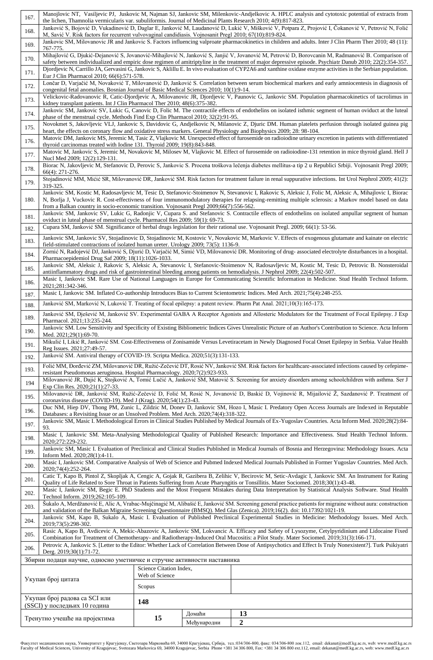| 167.                          | Manojlovic NT, Vasiljevic PJ, Juskovic M, Najman SJ, Jankovic SM, Milenkovic-Andjelkovic A. HPLC analysis and cytotoxic potential of extracts from<br>the lichen, Thamnolia vermicularis var. subuliformis. Journal of Medicinal Plants Research 2010; 4(9):817-823.                                                                                                                                                                |                                           |             |                                                                                                                                                                                                                                                                                           |  |  |
|-------------------------------|-------------------------------------------------------------------------------------------------------------------------------------------------------------------------------------------------------------------------------------------------------------------------------------------------------------------------------------------------------------------------------------------------------------------------------------|-------------------------------------------|-------------|-------------------------------------------------------------------------------------------------------------------------------------------------------------------------------------------------------------------------------------------------------------------------------------------|--|--|
| 168.                          | Janković S, Bojović D, Vukadinović D, Daglar E, Janković M, Laudanović D, Lukić V, Mišković V, Potpara Z, Projović I, Čokanović V, Petrović N, Folić                                                                                                                                                                                                                                                                                |                                           |             |                                                                                                                                                                                                                                                                                           |  |  |
| 169.                          | M, Savić V. Risk factors for recurrent vulvovaginal candidiasis. Vojnosanit Pregl 2010; 67(10):819-824.<br>Jankovic SM, Milovanovic JR and Jankovic S. Factors influencing valproate pharmacokinetics in children and adults. Inter J Clin Pharm Ther 2010; 48 (11):                                                                                                                                                                |                                           |             |                                                                                                                                                                                                                                                                                           |  |  |
| 170.                          | 767-775.<br>Mihajlović G, Djukić-Dejanović S, Jovanović-Mihajlović N, Janković S, Janjić V, Jovanović M, Petrović D, Borovcanin M, Radmanović B. Comparison of<br>safety between individualized and empiric dose regimen of amitriptyline in the treatment of major depressive episode. Psychiatr Danub 2010; 22(2):354-357.                                                                                                        |                                           |             |                                                                                                                                                                                                                                                                                           |  |  |
| 171.                          | Djordjevic N, Carrillo JA, Gervasini G, Jankovic S, Aklillu E. In vivo evaluation of CYP2A6 and xanthine oxidase enzyme activities in the Serbian population.                                                                                                                                                                                                                                                                       |                                           |             |                                                                                                                                                                                                                                                                                           |  |  |
| 172.                          | Eur J Clin Pharmacol 2010; 66(6):571-578.<br>Lončar D, Varjačić M, Novaković T, Milovanović D, Janković S. Correlation between serum biochemical markers and early amniocentesis in diagnosis of<br>congenital fetal anomalies. Bosnian Journal of Basic Medical Sciences 2010; 10(1):9-14.                                                                                                                                         |                                           |             |                                                                                                                                                                                                                                                                                           |  |  |
| 173.                          |                                                                                                                                                                                                                                                                                                                                                                                                                                     |                                           |             | Velickovic-Radovanovic R, Catic-Djordjevic A, Milovanovic JR, Djordjevic V, Paunovic G, Jankovic SM. Population pharmacokinetics of tacrolimus in                                                                                                                                         |  |  |
| 174.                          | kidney transplant patients. Int J Clin Pharmacol Ther 2010; 48(6):375-382.<br>Jankovic SM, Jankovic SV, Lukic G, Canovic D, Folic M. The contractile effects of endothelins on isolated isthmic segment of human oviduct at the luteal<br>phase of the menstrual cycle. Methods Find Exp Clin Pharmacol 2010; 32(2):91-95.                                                                                                          |                                           |             |                                                                                                                                                                                                                                                                                           |  |  |
| 175.                          | Novokmet S, Jakovljevic VLJ, Jankovic S, Davidovic G, Andjelkovic N, Milanovic Z, Djuric DM. Human platelets perfusion through isolated guinea pig<br>heart, the effects on coronary flow and oxidative stress markers. General Physiology and Biophysics 2009; 28: 98-104.                                                                                                                                                         |                                           |             |                                                                                                                                                                                                                                                                                           |  |  |
| 176.                          | Matovic DM, Jankovic MS, Jeremic M, Tasic Z, Vlajkovic M. Unexpected effect of furosemide on radioiodine urinary excretion in patients with differentiated<br>thyroid carcinomas treated with Iodine 131. Thyroid 2009; 19(8):843-848.                                                                                                                                                                                              |                                           |             |                                                                                                                                                                                                                                                                                           |  |  |
| 177.                          | Nucl Med 2009; 12(2):129-131.                                                                                                                                                                                                                                                                                                                                                                                                       |                                           |             | Matovic M, Jankovic S, Jeremic M, Novakovic M, Milosev M, Vlajkovic M. Effect of furosemide on radioiodine-131 retention in mice thyroid gland. Hell J                                                                                                                                    |  |  |
| 178.                          | 66(4): 271-276.                                                                                                                                                                                                                                                                                                                                                                                                                     |                                           |             | Biorac N, Jakovljevic M, Stefanovic D, Perovic S, Jankovic S. Procena troškova lečenja diabetes mellitus-a tip 2 u Republici Srbiji. Vojnosanit Pregl 2009;                                                                                                                               |  |  |
| 179.                          | 319-325.                                                                                                                                                                                                                                                                                                                                                                                                                            |                                           |             | Stojadinović MM, Mićić SR, Milovanović DR, Janković SM. Risk factors for treatment failure in renal suppurative infections. Int Urol Nephrol 2009; 41(2):                                                                                                                                 |  |  |
| 180.                          | Jankovic SM, Kostic M, Radosavljevic M, Tesic D, Stefanovic-Stoimenov N, Stevanovic I, Rakovic S, Aleksic J, Folic M, Aleksic A, Mihajlovic I, Biorac<br>N, Borlja J, Vuckovic R. Cost-effectivness of four immunomodulatory therapies for relapsing-remitting multiple sclerosis: a Markov model based on data<br>from a Balkan country in socio-economic transition. Vojnosanit Pregl 2009;66(7):556-562.                         |                                           |             |                                                                                                                                                                                                                                                                                           |  |  |
| 181.                          | Jankovic SM, Jankovic SV, Lukic G, Radonjic V, Cupara S. and Stefanovic S. Contractile effects of endothelins on isolated ampullar segment of human<br>oviduct in luteal phase of menstrual cycle. Pharmacol Res 2009; 59(1): 69-73.                                                                                                                                                                                                |                                           |             |                                                                                                                                                                                                                                                                                           |  |  |
| 182.                          |                                                                                                                                                                                                                                                                                                                                                                                                                                     |                                           |             | Cupara SM, Janković SM. Significance of herbal drugs legislation for their rational use. Vojnosanit Pregl. 2009; 66(1): 53-56.<br>Jankovic SM, Jankovic SV, Stojadinovic D, Stojadinovic M, Kostovic V, Novakovic M, Markovic V. Effects of exogenous glutamate and kainate on electric   |  |  |
| 183.                          | field-stimulated contractions of isolated human ureter. Urology 2009; 73(5): 1136-9.                                                                                                                                                                                                                                                                                                                                                |                                           |             | Zornić N, Radojević DJ, Janković S, Djurić D, Varjačić M, Simić VD, Milovanović DR. Monitoring of drug-associated electrolyte disturbances in a hospital.                                                                                                                                 |  |  |
| 184.                          | Pharmacoepidemiol Drug Saf 2009; 18(11):1026-1033.                                                                                                                                                                                                                                                                                                                                                                                  |                                           |             |                                                                                                                                                                                                                                                                                           |  |  |
| 185.<br>186.                  | Jankovic SM, Aleksic J, Rakovic S, Aleksic A, Stevanovic I, Stefanovic-Stoimenov N, Radosavljevic M, Kostic M, Tesic D, Petrovic B. Nonsteroidal<br>antiinflammatory drugs and risk of gastrointestinal bleeding among patients on hemodialysis. J Nephrol 2009; 22(4):502-507.<br>Masic I, Jankovic SM. Rare Use of National Languages in Europe for Communicating Scientific Information in Medicine. Stud Health Technol Inform. |                                           |             |                                                                                                                                                                                                                                                                                           |  |  |
| 187.                          | 2021;281:342-346.<br>Masic I, Jankovic SM. Inflated Co-authorship Introduces Bias to Current Scientometric Indices. Med Arch. 2021;75(4):248-255.                                                                                                                                                                                                                                                                                   |                                           |             |                                                                                                                                                                                                                                                                                           |  |  |
| 188.                          | Janković SM, Marković N, Luković T. Treating of focal epilepsy: a patent review. Pharm Pat Anal. 2021;10(3):165-173.                                                                                                                                                                                                                                                                                                                |                                           |             |                                                                                                                                                                                                                                                                                           |  |  |
| 189.                          | Janković SM, Dješević M, Janković SV. Experimental GABA A Receptor Agonists and Allosteric Modulators for the Treatment of Focal Epilepsy. J Exp<br>Pharmacol. 2021;13:235-244.                                                                                                                                                                                                                                                     |                                           |             |                                                                                                                                                                                                                                                                                           |  |  |
| 190.                          | Jankovic SM. Low Sensitivity and Specificity of Existing Bibliometric Indices Gives Unrealistic Picture of an Author's Contribution to Science. Acta Inform<br>Med. 2021;29(1):69-70.                                                                                                                                                                                                                                               |                                           |             |                                                                                                                                                                                                                                                                                           |  |  |
| 191.                          | Mikulić I, Likić R, Janković SM. Cost-Effectiveness of Zonisamide Versus Levetiracetam in Newly Diagnosed Focal Onset Epilepsy in Serbia. Value Health<br>Reg Issues. 2021;27:49-57.                                                                                                                                                                                                                                                |                                           |             |                                                                                                                                                                                                                                                                                           |  |  |
| 192.                          | Janković SM. Antiviral therapy of COVID-19. Scripta Medica. 2020;51(3):131-133.                                                                                                                                                                                                                                                                                                                                                     |                                           |             |                                                                                                                                                                                                                                                                                           |  |  |
| 193.                          | resistant Pseudomonas aeruginosa. Hospital Pharmacology. 2020;7(2):923-933.                                                                                                                                                                                                                                                                                                                                                         |                                           |             | Folić MM, Đorđević ZM, Milovanović DR, Ružić-Zečević DT, Rosić NV, Janković SM. Risk factors for healthcare-associated infections caused by cefepime-                                                                                                                                     |  |  |
| 194                           | Exp Clin Res. 2020;21(1):27-33.                                                                                                                                                                                                                                                                                                                                                                                                     |                                           |             | Milovanović JR, Dajić K, Stojković A, Tomić Lučić A, Janković SM, Matović S. Screening for anxiety disorders among schoolchildren with asthma. Ser J                                                                                                                                      |  |  |
| 195.                          | coronavirus disease (COVID-19). Med J (Krag). 2020;54(1):23-43.                                                                                                                                                                                                                                                                                                                                                                     |                                           |             | Milovanović DR, Janković SM, Ružić-Zečević D, Folić M, Rosić N, Jovanović D, Baskić D, Vojinović R, Mijailović Ž, Sazdanović P. Treatment of                                                                                                                                              |  |  |
| 196.                          | Databases: a Revisiting Issue or an Unsolved Problem. Med Arch. 2020;74(4):318-322.                                                                                                                                                                                                                                                                                                                                                 |                                           |             | Duc NM, Hiep DV, Thong PM, Zunic L, Zildzic M, Donev D, Jankovic SM, Hozo I, Masic I. Predatory Open Access Journals are Indexed in Reputable                                                                                                                                             |  |  |
| 197.                          | 93.                                                                                                                                                                                                                                                                                                                                                                                                                                 |                                           |             | Jankovic SM, Masic I. Methodological Errors in Clinical Studies Published by Medical Journals of Ex-Yugoslav Countries. Acta Inform Med. 2020;28(2):84-                                                                                                                                   |  |  |
| 198.                          | 2020;272:229-232.                                                                                                                                                                                                                                                                                                                                                                                                                   |                                           |             | Masic I, Jankovic SM. Meta-Analysing Methodological Quality of Published Research: Importance and Effectiveness. Stud Health Technol Inform.                                                                                                                                              |  |  |
| 199.                          | Inform Med. 2020;28(1):4-11.                                                                                                                                                                                                                                                                                                                                                                                                        |                                           |             | Jankovic SM, Masic I. Evaluation of Preclinical and Clinical Studies Published in Medical Journals of Bosnia and Herzegovina: Methodology Issues. Acta                                                                                                                                    |  |  |
| 200.                          | Masic I, Jankovic SM. Comparative Analysis of Web of Science and Pubmed Indexed Medical Journals Published in Former Yugoslav Countries. Med Arch.<br>2020;74(4):252-264.                                                                                                                                                                                                                                                           |                                           |             |                                                                                                                                                                                                                                                                                           |  |  |
| 201.                          | Catic T, Kapo B, Pintol Z, Skopljak A, Cengic A, Gojak R, Gazibera B, Zelihic V, Becirovic M, Setic-Avdagic I, Jankovic SM. An Instrument for Rating<br>Quality of Life Related to Sore Throat in Patients Suffering from Acute Pharyngitis or Tonsillitis. Mater Sociomed. 2018;30(1):43-48.                                                                                                                                       |                                           |             |                                                                                                                                                                                                                                                                                           |  |  |
| 202.                          | Technol Inform. 2019;262:105-109.                                                                                                                                                                                                                                                                                                                                                                                                   |                                           |             | Masic I, Jankovic SM, Begic E. PhD Students and the Most Frequent Mistakes during Data Interpretation by Statistical Analysis Software. Stud Health                                                                                                                                       |  |  |
| 203.                          |                                                                                                                                                                                                                                                                                                                                                                                                                                     |                                           |             | Šukalo A, Merdžanović E, Alic A, Vrabac-Mujčinagić M, Alibašić E, Janković SM. Screening general practice patients for migraine without aura: construction<br>and validation of the Balkan Migraine Screening Questionnaire (BMSQ). Med Glas (Zenica). 2019;16(2). doi: 10.17392/1021-19. |  |  |
| 204.                          | 2019;73(5):298-302.                                                                                                                                                                                                                                                                                                                                                                                                                 |                                           |             | Jankovic SM, Kapo B, Sukalo A, Masic I. Evaluation of Published Preclinical Experimental Studies in Medicine: Methodology Issues. Med Arch.                                                                                                                                               |  |  |
| 205.                          |                                                                                                                                                                                                                                                                                                                                                                                                                                     |                                           |             | Rasic A, Kapo B, Avdicevic A, Mekic-Abazovic A, Jankovic SM, Lokvancic A. Efficacy and Safety of Lysozyme, Cetylpyridinium and Lidocaine Fixed<br>Combination for Treatment of Chemotherapy- and Radiotherapy-Induced Oral Mucositis: a Pilot Study. Mater Sociomed. 2019;31(3):166-171.  |  |  |
| 206.                          | Derg. 2019;30(1):71-72.                                                                                                                                                                                                                                                                                                                                                                                                             |                                           |             | Petrovic A, Jankovic S. [Letter to the Editor: Whether Lack of Correlation Between Dose of Antipsychotics and Effect Is Truly Nonexistent?]. Turk Psikiyatri                                                                                                                              |  |  |
|                               | Збирни подаци научне, односно уметничке и стручне активности наставника                                                                                                                                                                                                                                                                                                                                                             |                                           |             |                                                                                                                                                                                                                                                                                           |  |  |
|                               | Укупан број цитата                                                                                                                                                                                                                                                                                                                                                                                                                  | Science Citation Index,<br>Web of Science |             |                                                                                                                                                                                                                                                                                           |  |  |
|                               |                                                                                                                                                                                                                                                                                                                                                                                                                                     | Scopus                                    |             |                                                                                                                                                                                                                                                                                           |  |  |
|                               | Укупан број радова са SCI или<br>(SSCI) у последњих 10 година                                                                                                                                                                                                                                                                                                                                                                       | 148                                       |             |                                                                                                                                                                                                                                                                                           |  |  |
| Тренутно учешће на пројектима |                                                                                                                                                                                                                                                                                                                                                                                                                                     | 15                                        | Домаћи      | 13                                                                                                                                                                                                                                                                                        |  |  |
|                               |                                                                                                                                                                                                                                                                                                                                                                                                                                     |                                           | Међународни | $\overline{2}$                                                                                                                                                                                                                                                                            |  |  |